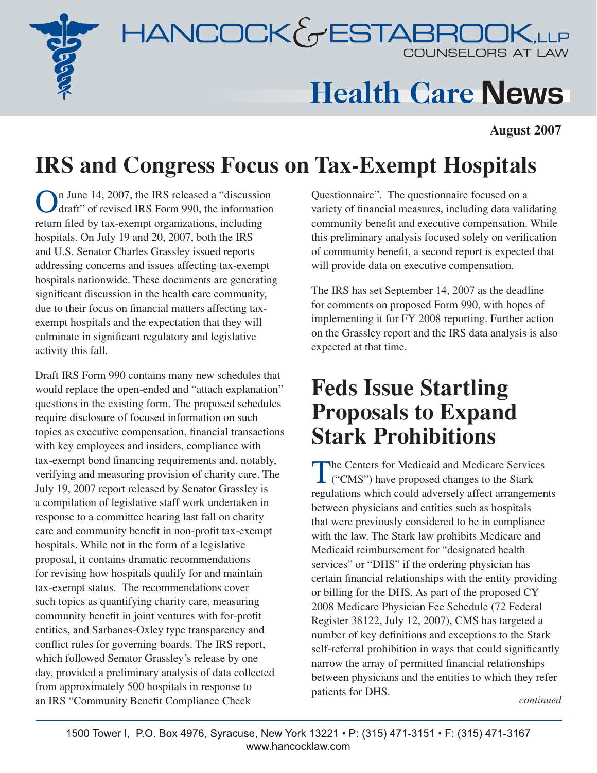



# **Health Care News**

**August 2007**

## **IRS and Congress Focus on Tax-Exempt Hospitals**

In June 14, 2007, the IRS released a "discussion" draft" of revised IRS Form 990, the information return filed by tax-exempt organizations, including hospitals. On July 19 and 20, 2007, both the IRS and U.S. Senator Charles Grassley issued reports addressing concerns and issues affecting tax-exempt hospitals nationwide. These documents are generating significant discussion in the health care community, due to their focus on financial matters affecting taxexempt hospitals and the expectation that they will culminate in significant regulatory and legislative activity this fall.

Draft IRS Form 990 contains many new schedules that would replace the open-ended and "attach explanation" questions in the existing form. The proposed schedules require disclosure of focused information on such topics as executive compensation, financial transactions with key employees and insiders, compliance with tax-exempt bond financing requirements and, notably, verifying and measuring provision of charity care. The July 19, 2007 report released by Senator Grassley is a compilation of legislative staff work undertaken in response to a committee hearing last fall on charity care and community benefit in non-profit tax-exempt hospitals. While not in the form of a legislative proposal, it contains dramatic recommendations for revising how hospitals qualify for and maintain tax-exempt status. The recommendations cover such topics as quantifying charity care, measuring community benefit in joint ventures with for-profit entities, and Sarbanes-Oxley type transparency and conflict rules for governing boards. The IRS report, which followed Senator Grassley's release by one day, provided a preliminary analysis of data collected from approximately 500 hospitals in response to an IRS "Community Benefit Compliance Check

Questionnaire". The questionnaire focused on a variety of financial measures, including data validating community benefit and executive compensation. While this preliminary analysis focused solely on verification of community benefit, a second report is expected that will provide data on executive compensation.

The IRS has set September 14, 2007 as the deadline for comments on proposed Form 990, with hopes of implementing it for FY 2008 reporting. Further action on the Grassley report and the IRS data analysis is also expected at that time.

### **Feds Issue Startling Proposals to Expand Stark Prohibitions**

The Centers for Medicaid and Medicare Services<br>
("CMS") have proposed changes to the Stark regulations which could adversely affect arrangements between physicians and entities such as hospitals that were previously considered to be in compliance with the law. The Stark law prohibits Medicare and Medicaid reimbursement for "designated health services" or "DHS" if the ordering physician has certain financial relationships with the entity providing or billing for the DHS. As part of the proposed CY 2008 Medicare Physician Fee Schedule (72 Federal Register 38122, July 12, 2007), CMS has targeted a number of key definitions and exceptions to the Stark self-referral prohibition in ways that could significantly narrow the array of permitted financial relationships between physicians and the entities to which they refer patients for DHS.

*continued*